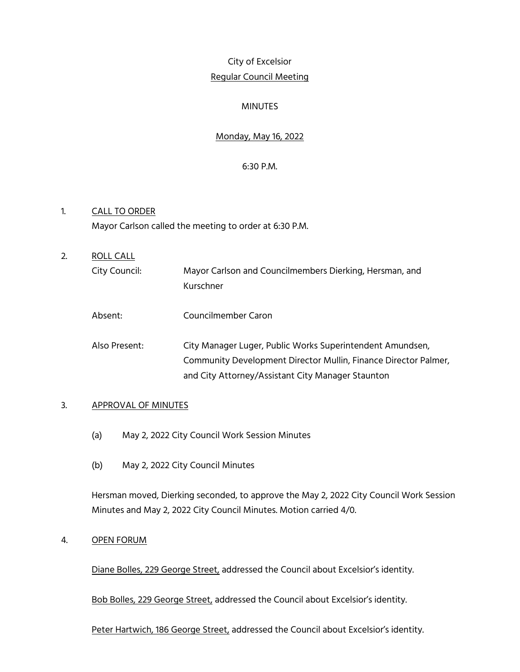# City of Excelsior Regular Council Meeting

# MINUTES

# Monday, May 16, 2022

# 6:30 P.M.

- 1. CALL TO ORDER Mayor Carlson called the meeting to order at 6:30 P.M.
- 2. ROLL CALL City Council: Mayor Carlson and Councilmembers Dierking, Hersman, and Kurschner Absent: Councilmember Caron Also Present: City Manager Luger, Public Works Superintendent Amundsen,
	- Community Development Director Mullin, Finance Director Palmer, and City Attorney/Assistant City Manager Staunton

# 3. APPROVAL OF MINUTES

- (a) May 2, 2022 City Council Work Session Minutes
- (b) May 2, 2022 City Council Minutes

Hersman moved, Dierking seconded, to approve the May 2, 2022 City Council Work Session Minutes and May 2, 2022 City Council Minutes. Motion carried 4/0.

# 4. OPEN FORUM

Diane Bolles, 229 George Street, addressed the Council about Excelsior's identity.

Bob Bolles, 229 George Street, addressed the Council about Excelsior's identity.

Peter Hartwich, 186 George Street, addressed the Council about Excelsior's identity.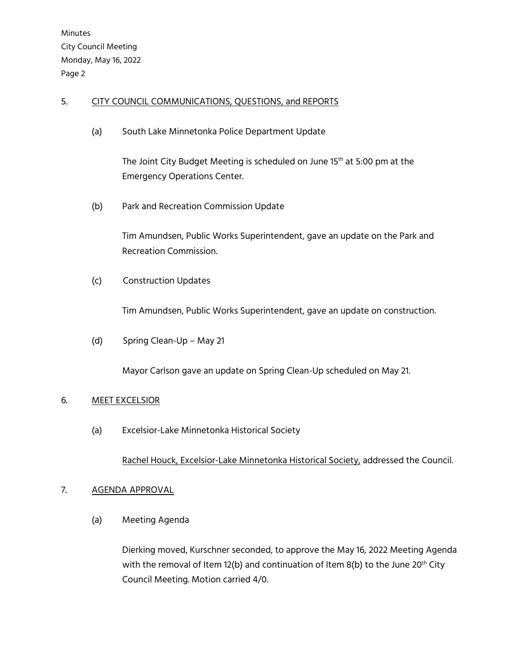# 5. CITY COUNCIL COMMUNICATIONS, QUESTIONS, and REPORTS

(a) South Lake Minnetonka Police Department Update

The Joint City Budget Meeting is scheduled on June 15<sup>th</sup> at 5:00 pm at the Emergency Operations Center.

(b) Park and Recreation Commission Update

 Tim Amundsen, Public Works Superintendent, gave an update on the Park and Recreation Commission.

(c) Construction Updates

Tim Amundsen, Public Works Superintendent, gave an update on construction.

(d) Spring Clean-Up – May 21

Mayor Carlson gave an update on Spring Clean-Up scheduled on May 21.

# 6. MEET EXCELSIOR

(a) Excelsior-Lake Minnetonka Historical Society

Rachel Houck, Excelsior-Lake Minnetonka Historical Society, addressed the Council.

# 7. AGENDA APPROVAL

(a) Meeting Agenda

Dierking moved, Kurschner seconded, to approve the May 16, 2022 Meeting Agenda with the removal of Item 12(b) and continuation of Item 8(b) to the June 20<sup>th</sup> City Council Meeting. Motion carried 4/0.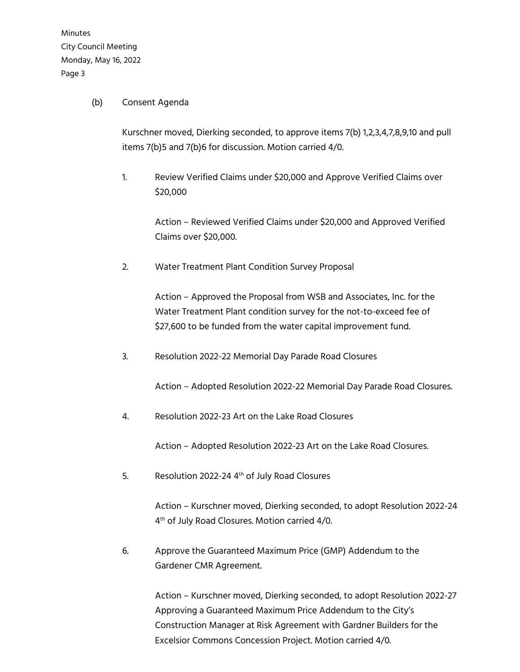### (b) Consent Agenda

Kurschner moved, Dierking seconded, to approve items 7(b) 1,2,3,4,7,8,9,10 and pull items 7(b)5 and 7(b)6 for discussion. Motion carried 4/0.

1. Review Verified Claims under \$20,000 and Approve Verified Claims over \$20,000

> Action – Reviewed Verified Claims under \$20,000 and Approved Verified Claims over \$20,000.

2. Water Treatment Plant Condition Survey Proposal

Action – Approved the Proposal from WSB and Associates, Inc. for the Water Treatment Plant condition survey for the not-to-exceed fee of \$27,600 to be funded from the water capital improvement fund.

3. Resolution 2022-22 Memorial Day Parade Road Closures

Action – Adopted Resolution 2022-22 Memorial Day Parade Road Closures.

4. Resolution 2022-23 Art on the Lake Road Closures

Action – Adopted Resolution 2022-23 Art on the Lake Road Closures.

5. Resolution 2022-24 4<sup>th</sup> of July Road Closures

Action – Kurschner moved, Dierking seconded, to adopt Resolution 2022-24 4<sup>th</sup> of July Road Closures. Motion carried 4/0.

6. Approve the Guaranteed Maximum Price (GMP) Addendum to the Gardener CMR Agreement.

> Action – Kurschner moved, Dierking seconded, to adopt Resolution 2022-27 Approving a Guaranteed Maximum Price Addendum to the City's Construction Manager at Risk Agreement with Gardner Builders for the Excelsior Commons Concession Project. Motion carried 4/0.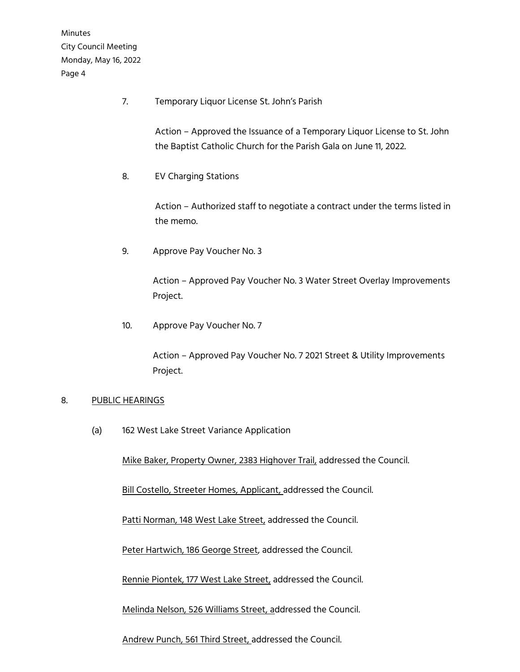7. Temporary Liquor License St. John's Parish

 Action – Approved the Issuance of a Temporary Liquor License to St. John the Baptist Catholic Church for the Parish Gala on June 11, 2022.

8. EV Charging Stations

 Action – Authorized staff to negotiate a contract under the terms listed in the memo.

9. Approve Pay Voucher No. 3

 Action – Approved Pay Voucher No. 3 Water Street Overlay Improvements Project.

10. Approve Pay Voucher No. 7

 Action – Approved Pay Voucher No. 7 2021 Street & Utility Improvements Project.

# 8. PUBLIC HEARINGS

(a) 162 West Lake Street Variance Application

Mike Baker, Property Owner, 2383 Highover Trail, addressed the Council.

Bill Costello, Streeter Homes, Applicant, addressed the Council.

Patti Norman, 148 West Lake Street, addressed the Council.

Peter Hartwich, 186 George Street, addressed the Council.

Rennie Piontek, 177 West Lake Street, addressed the Council.

Melinda Nelson, 526 Williams Street, addressed the Council.

Andrew Punch, 561 Third Street, addressed the Council.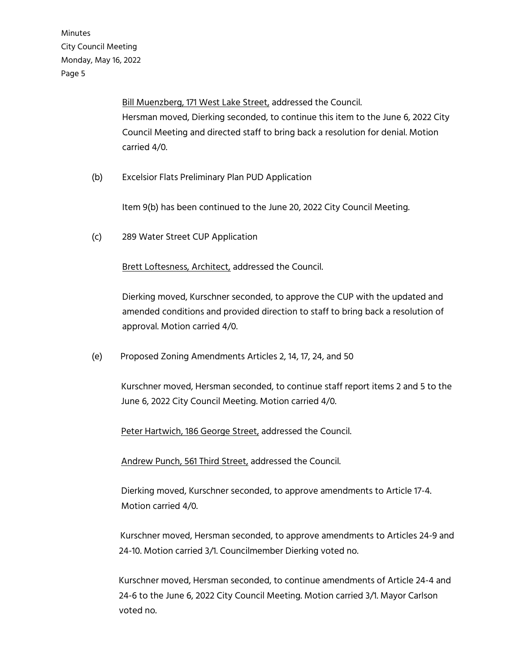> Bill Muenzberg, 171 West Lake Street, addressed the Council. Hersman moved, Dierking seconded, to continue this item to the June 6, 2022 City Council Meeting and directed staff to bring back a resolution for denial. Motion carried 4/0.

(b) Excelsior Flats Preliminary Plan PUD Application

Item 9(b) has been continued to the June 20, 2022 City Council Meeting.

(c) 289 Water Street CUP Application

Brett Loftesness, Architect, addressed the Council.

Dierking moved, Kurschner seconded, to approve the CUP with the updated and amended conditions and provided direction to staff to bring back a resolution of approval. Motion carried 4/0.

(e) Proposed Zoning Amendments Articles 2, 14, 17, 24, and 50

 Kurschner moved, Hersman seconded, to continue staff report items 2 and 5 to the June 6, 2022 City Council Meeting. Motion carried 4/0.

Peter Hartwich, 186 George Street, addressed the Council.

Andrew Punch, 561 Third Street, addressed the Council.

 Dierking moved, Kurschner seconded, to approve amendments to Article 17-4. Motion carried 4/0.

 Kurschner moved, Hersman seconded, to approve amendments to Articles 24-9 and 24-10. Motion carried 3/1. Councilmember Dierking voted no.

 Kurschner moved, Hersman seconded, to continue amendments of Article 24-4 and 24-6 to the June 6, 2022 City Council Meeting. Motion carried 3/1. Mayor Carlson voted no.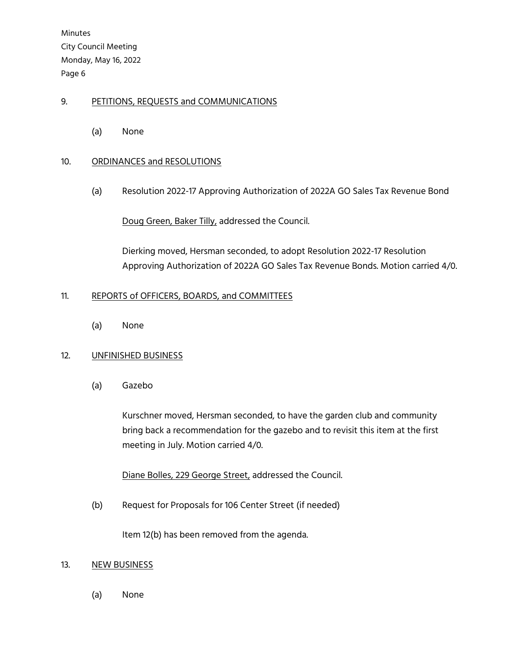# 9. PETITIONS, REQUESTS and COMMUNICATIONS

(a) None

# 10. ORDINANCES and RESOLUTIONS

(a) Resolution 2022-17 Approving Authorization of 2022A GO Sales Tax Revenue Bond

Doug Green, Baker Tilly, addressed the Council.

Dierking moved, Hersman seconded, to adopt Resolution 2022-17 Resolution Approving Authorization of 2022A GO Sales Tax Revenue Bonds. Motion carried 4/0.

### 11. REPORTS of OFFICERS, BOARDS, and COMMITTEES

(a) None

# 12. UNFINISHED BUSINESS

(a) Gazebo

Kurschner moved, Hersman seconded, to have the garden club and community bring back a recommendation for the gazebo and to revisit this item at the first meeting in July. Motion carried 4/0.

Diane Bolles, 229 George Street, addressed the Council.

(b) Request for Proposals for 106 Center Street (if needed)

Item 12(b) has been removed from the agenda.

#### 13. NEW BUSINESS

(a) None